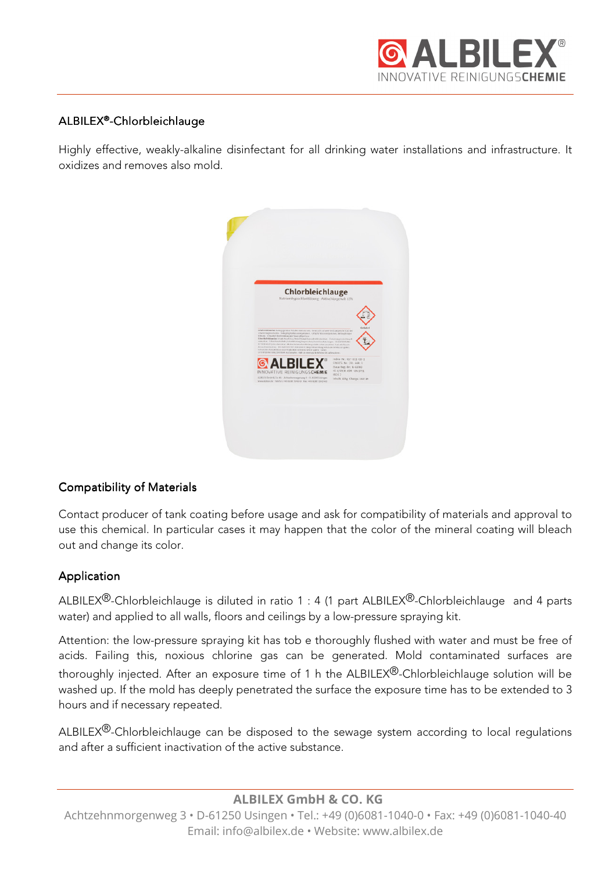

# ALBILEX®-Chlorbleichlauge

Highly effective, weakly-alkaline disinfectant for all drinking water installations and infrastructure. It oxidizes and removes also mold.



# **Compatibility of Materials**

Contact producer of tank coating before usage and ask for compatibility of materials and approval to use this chemical. In particular cases it may happen that the color of the mineral coating will bleach out and change its color.

# Application

ALBILEX<sup>®</sup>-Chlorbleichlauge is diluted in ratio 1 : 4 (1 part ALBILEX<sup>®</sup>-Chlorbleichlauge and 4 parts water) and applied to all walls, floors and ceilings by a low-pressure spraying kit.

Attention: the low-pressure spraying kit has tob e thoroughly flushed with water and must be free of acids. Failing this, noxious chlorine gas can be generated. Mold contaminated surfaces are thoroughly injected. After an exposure time of 1 h the ALBILEX®-Chlorbleichlauge solution will be washed up. If the mold has deeply penetrated the surface the exposure time has to be extended to 3 hours and if necessary repeated.

ALBILEX<sup>®</sup>-Chlorbleichlauge can be disposed to the sewage system according to local regulations and after a sufficient inactivation of the active substance.

**ALBILEX GmbH & CO. KG** 

Achtzehnmorgenweg 3 • D-61250 Usingen • Tel.: +49 (0)6081-1040-0 • Fax: +49 (0)6081-1040-40 Email: info@albilex.de • Website: www.albilex.de